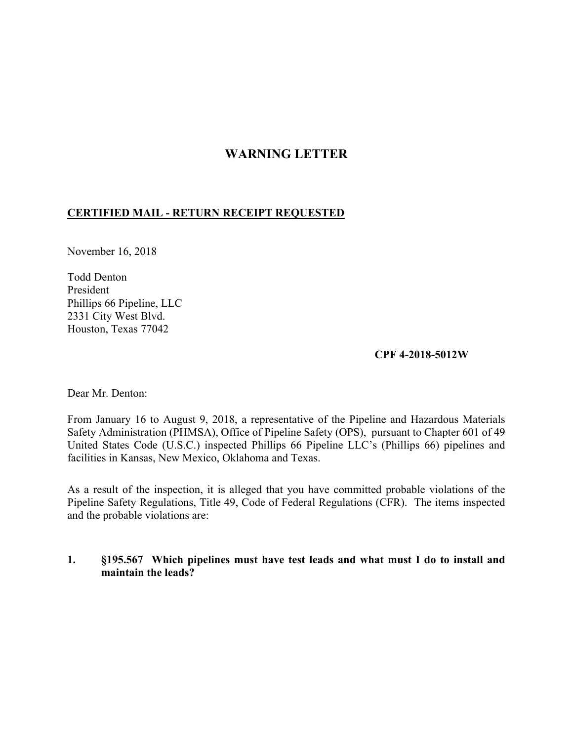# **WARNING LETTER**

## **CERTIFIED MAIL - RETURN RECEIPT REQUESTED**

November 16, 2018

Todd Denton President Phillips 66 Pipeline, LLC 2331 City West Blvd. Houston, Texas 77042

#### **CPF 4-2018-5012W**

Dear Mr. Denton:

 Safety Administration (PHMSA), Office of Pipeline Safety (OPS), pursuant to Chapter 601 of 49 From January 16 to August 9, 2018, a representative of the Pipeline and Hazardous Materials United States Code (U.S.C.) inspected Phillips 66 Pipeline LLC's (Phillips 66) pipelines and facilities in Kansas, New Mexico, Oklahoma and Texas.

 Pipeline Safety Regulations, Title 49, Code of Federal Regulations (CFR). The items inspected As a result of the inspection, it is alleged that you have committed probable violations of the and the probable violations are:

#### **1. §195.567 Which pipelines must have test leads and what must I do to install and maintain the leads?**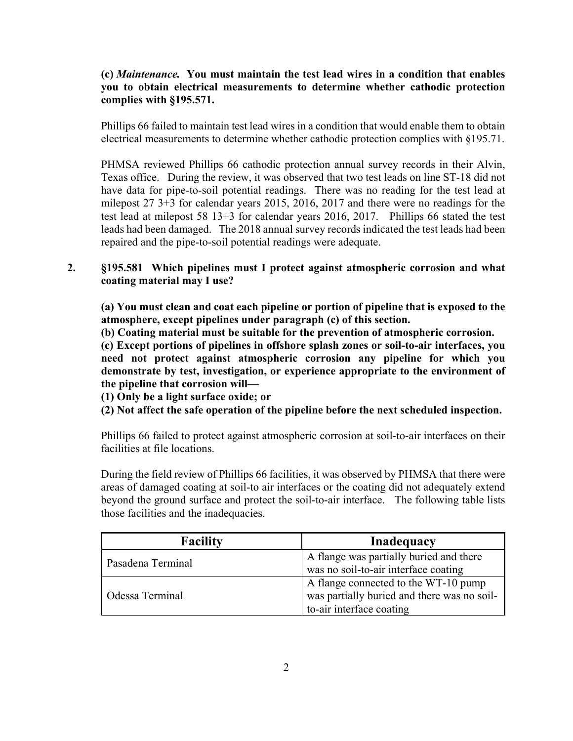### **(c)** *Maintenance.* **You must maintain the test lead wires in a condition that enables you to obtain electrical measurements to determine whether cathodic protection complies with §195.571.**

Phillips 66 failed to maintain test lead wires in a condition that would enable them to obtain electrical measurements to determine whether cathodic protection complies with §195.71.

 Texas office. During the review, it was observed that two test leads on line ST-18 did not test lead at milepost 58 13+3 for calendar years 2016, 2017. Phillips 66 stated the test leads had been damaged. The 2018 annual survey records indicated the test leads had been PHMSA reviewed Phillips 66 cathodic protection annual survey records in their Alvin, have data for pipe-to-soil potential readings. There was no reading for the test lead at milepost 27 3+3 for calendar years 2015, 2016, 2017 and there were no readings for the repaired and the pipe-to-soil potential readings were adequate.

### **2. §195.581 Which pipelines must I protect against atmospheric corrosion and what coating material may I use?**

 **(a) You must clean and coat each pipeline or portion of pipeline that is exposed to the atmosphere, except pipelines under paragraph (c) of this section.** 

**(b) Coating material must be suitable for the prevention of atmospheric corrosion.** 

**(c) Except portions of pipelines in offshore splash zones or soil-to-air interfaces, you need not protect against atmospheric corrosion any pipeline for which you demonstrate by test, investigation, or experience appropriate to the environment of the pipeline that corrosion will—** 

**(1) Only be a light surface oxide; or** 

**(2) Not affect the safe operation of the pipeline before the next scheduled inspection.** 

Phillips 66 failed to protect against atmospheric corrosion at soil-to-air interfaces on their facilities at file locations.

 During the field review of Phillips 66 facilities, it was observed by PHMSA that there were beyond the ground surface and protect the soil-to-air interface. The following table lists areas of damaged coating at soil-to air interfaces or the coating did not adequately extend those facilities and the inadequacies.

| <b>Facility</b>   | Inadequacy                                  |
|-------------------|---------------------------------------------|
| Pasadena Terminal | A flange was partially buried and there     |
|                   | was no soil-to-air interface coating        |
| Odessa Terminal   | A flange connected to the WT-10 pump        |
|                   | was partially buried and there was no soil- |
|                   | to-air interface coating                    |